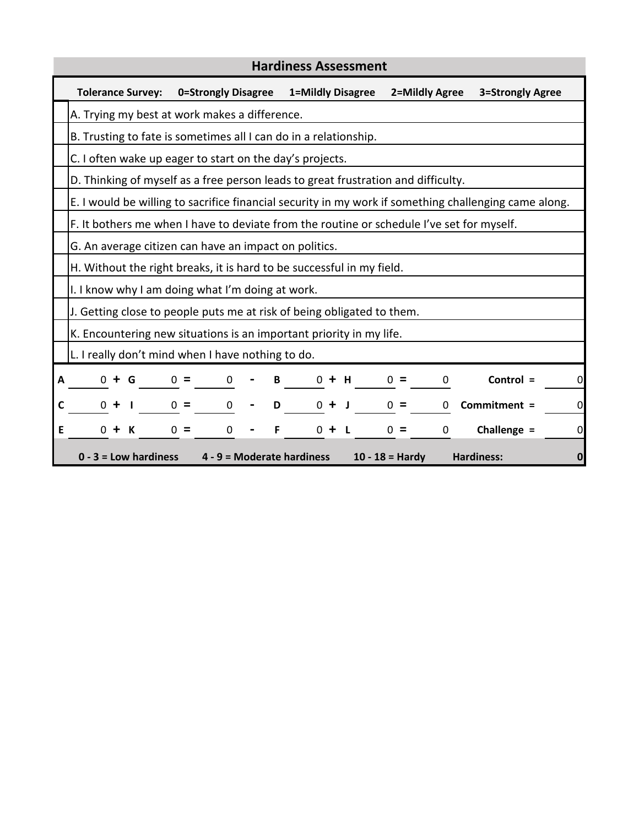| <b>Hardiness Assessment</b> |                                                                                                       |                                                                        |                   |                       |                                  |  |  |  |  |  |
|-----------------------------|-------------------------------------------------------------------------------------------------------|------------------------------------------------------------------------|-------------------|-----------------------|----------------------------------|--|--|--|--|--|
|                             | <b>Tolerance Survey:</b>                                                                              | 0=Strongly Disagree                                                    | 1=Mildly Disagree | 2=Mildly Agree        | 3=Strongly Agree                 |  |  |  |  |  |
|                             | A. Trying my best at work makes a difference.                                                         |                                                                        |                   |                       |                                  |  |  |  |  |  |
|                             | B. Trusting to fate is sometimes all I can do in a relationship.                                      |                                                                        |                   |                       |                                  |  |  |  |  |  |
|                             | C. I often wake up eager to start on the day's projects.                                              |                                                                        |                   |                       |                                  |  |  |  |  |  |
|                             | D. Thinking of myself as a free person leads to great frustration and difficulty.                     |                                                                        |                   |                       |                                  |  |  |  |  |  |
|                             | E. I would be willing to sacrifice financial security in my work if something challenging came along. |                                                                        |                   |                       |                                  |  |  |  |  |  |
|                             | F. It bothers me when I have to deviate from the routine or schedule I've set for myself.             |                                                                        |                   |                       |                                  |  |  |  |  |  |
|                             | G. An average citizen can have an impact on politics.                                                 |                                                                        |                   |                       |                                  |  |  |  |  |  |
|                             | H. Without the right breaks, it is hard to be successful in my field.                                 |                                                                        |                   |                       |                                  |  |  |  |  |  |
|                             | I. I know why I am doing what I'm doing at work.                                                      |                                                                        |                   |                       |                                  |  |  |  |  |  |
|                             |                                                                                                       | J. Getting close to people puts me at risk of being obligated to them. |                   |                       |                                  |  |  |  |  |  |
|                             | K. Encountering new situations is an important priority in my life.                                   |                                                                        |                   |                       |                                  |  |  |  |  |  |
|                             | L. I really don't mind when I have nothing to do.                                                     |                                                                        |                   |                       |                                  |  |  |  |  |  |
| A                           | 0 + G                                                                                                 | $0 =$<br>0                                                             | B<br>$0 + H$      | $0 =$<br>0            | Control =<br>0                   |  |  |  |  |  |
| С                           | $0 +$                                                                                                 | $0 =$<br>0                                                             | D<br>$0 + J$      | $0 =$<br>0            | Commitment =<br>0                |  |  |  |  |  |
| E                           | $0 +$<br>K                                                                                            | $0 =$<br>0                                                             | F<br>$0 +$        | $0 =$<br>$\mathbf{0}$ | Challenge =<br>0                 |  |  |  |  |  |
|                             | $0 - 3 =$ Low hardiness                                                                               | 4 - 9 = Moderate hardiness                                             |                   | $10 - 18 =$ Hardy     | <b>Hardiness:</b><br>$\mathbf 0$ |  |  |  |  |  |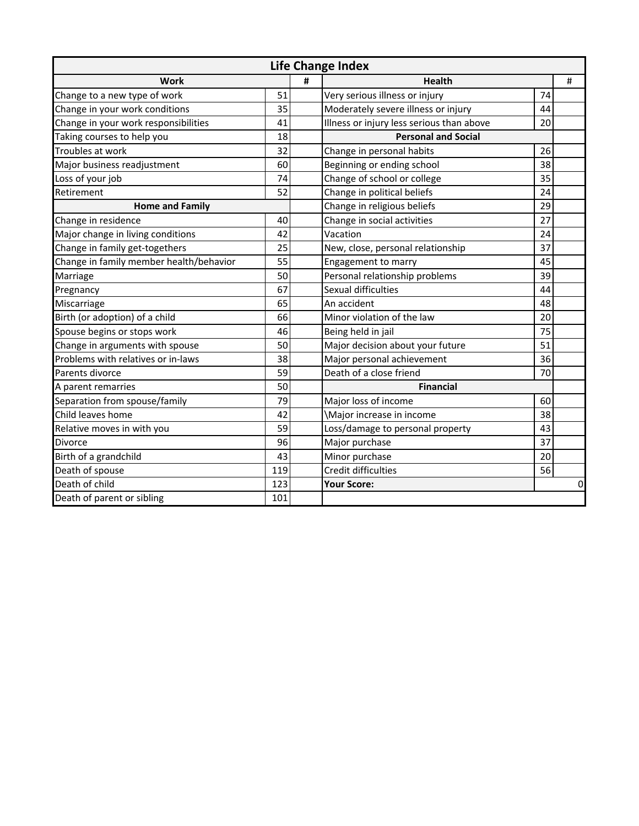| <b>Life Change Index</b>                |     |   |                                           |    |   |  |  |  |
|-----------------------------------------|-----|---|-------------------------------------------|----|---|--|--|--|
| Work                                    |     | # | <b>Health</b>                             |    | # |  |  |  |
| Change to a new type of work            |     |   | Very serious illness or injury            | 74 |   |  |  |  |
| Change in your work conditions          |     |   | Moderately severe illness or injury       | 44 |   |  |  |  |
| Change in your work responsibilities    |     |   | Illness or injury less serious than above | 20 |   |  |  |  |
| Taking courses to help you              |     |   | <b>Personal and Social</b>                |    |   |  |  |  |
| Troubles at work                        |     |   | Change in personal habits                 | 26 |   |  |  |  |
| Major business readjustment             |     |   | Beginning or ending school                | 38 |   |  |  |  |
| Loss of your job                        |     |   | Change of school or college               | 35 |   |  |  |  |
| Retirement                              | 52  |   | Change in political beliefs               | 24 |   |  |  |  |
| <b>Home and Family</b>                  |     |   | Change in religious beliefs               | 29 |   |  |  |  |
| Change in residence                     | 40  |   | Change in social activities               | 27 |   |  |  |  |
| Major change in living conditions       | 42  |   | Vacation                                  | 24 |   |  |  |  |
| Change in family get-togethers          |     |   | New, close, personal relationship         | 37 |   |  |  |  |
| Change in family member health/behavior |     |   | Engagement to marry                       | 45 |   |  |  |  |
| Marriage                                |     |   | Personal relationship problems            | 39 |   |  |  |  |
| Pregnancy                               |     |   | Sexual difficulties                       | 44 |   |  |  |  |
| Miscarriage                             |     |   | An accident                               | 48 |   |  |  |  |
| Birth (or adoption) of a child          |     |   | Minor violation of the law                | 20 |   |  |  |  |
| Spouse begins or stops work             |     |   | Being held in jail                        | 75 |   |  |  |  |
| Change in arguments with spouse         |     |   | Major decision about your future          | 51 |   |  |  |  |
| Problems with relatives or in-laws      |     |   | Major personal achievement                | 36 |   |  |  |  |
| Parents divorce                         |     |   | Death of a close friend                   | 70 |   |  |  |  |
| A parent remarries                      |     |   | <b>Financial</b>                          |    |   |  |  |  |
| Separation from spouse/family           |     |   | Major loss of income                      | 60 |   |  |  |  |
| Child leaves home                       |     |   | \Major increase in income                 | 38 |   |  |  |  |
| Relative moves in with you              | 59  |   | Loss/damage to personal property          | 43 |   |  |  |  |
| <b>Divorce</b>                          | 96  |   | Major purchase                            | 37 |   |  |  |  |
| Birth of a grandchild                   |     |   | Minor purchase                            | 20 |   |  |  |  |
| Death of spouse                         | 119 |   | Credit difficulties                       | 56 |   |  |  |  |
| Death of child                          |     |   | <b>Your Score:</b>                        |    | 0 |  |  |  |
| Death of parent or sibling              |     |   |                                           |    |   |  |  |  |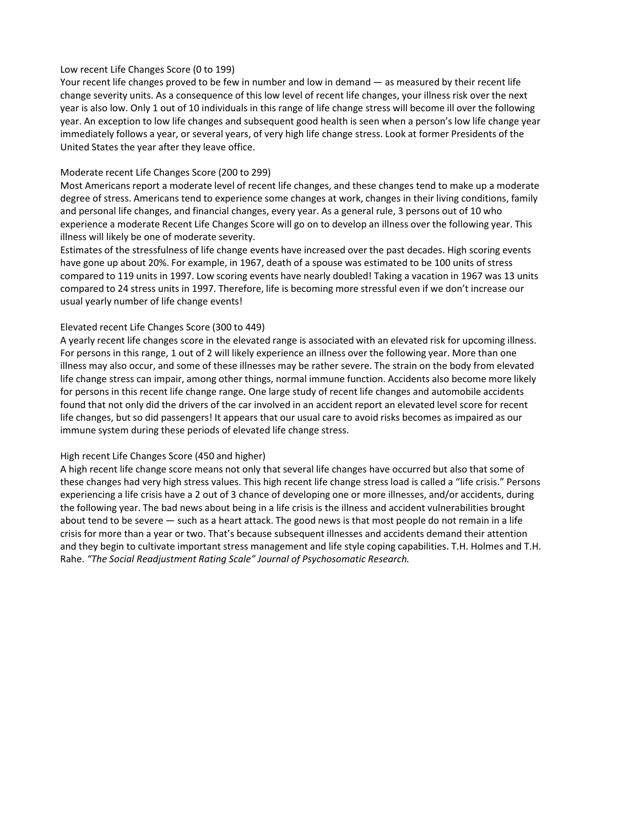## Low recent Life Changes Score (0 to 199)

Your recent life changes proved to be few in number and low in demand — as measured by their recent life change severity units. As a consequence of this low level of recent life changes, your illness risk over the next year is also low. Only 1 out of 10 individuals in this range of life change stress will become ill over the following year. An exception to low life changes and subsequent good health is seen when a person's low life change year immediately follows a year, or several years, of very high life change stress. Look at former Presidents of the United States the year after they leave office.

## Moderate recent Life Changes Score (200 to 299)

Most Americans report a moderate level of recent life changes, and these changes tend to make up a moderate degree of stress. Americans tend to experience some changes at work, changes in their living conditions, family and personal life changes, and financial changes, every year. As a general rule, 3 persons out of 10 who experience a moderate Recent Life Changes Score will go on to develop an illness over the following year. This illness will likely be one of moderate severity.

Estimates of the stressfulness of life change events have increased over the past decades. High scoring events have gone up about 20%. For example, in 1967, death of a spouse was estimated to be 100 units of stress compared to 119 units in 1997. Low scoring events have nearly doubled! Taking a vacation in 1967 was 13 units compared to 24 stress units in 1997. Therefore, life is becoming more stressful even if we don't increase our usual yearly number of life change events!

## Elevated recent Life Changes Score (300 to 449)

A yearly recent life changes score in the elevated range is associated with an elevated risk for upcoming illness. For persons in this range, 1 out of 2 will likely experience an illness over the following year. More than one illness may also occur, and some of these illnesses may be rather severe. The strain on the body from elevated life change stress can impair, among other things, normal immune function. Accidents also become more likely for persons in this recent life change range. One large study of recent life changes and automobile accidents found that not only did the drivers of the car involved in an accident report an elevated level score for recent life changes, but so did passengers! It appears that our usual care to avoid risks becomes as impaired as our immune system during these periods of elevated life change stress.

## High recent Life Changes Score (450 and higher)

A high recent life change score means not only that several life changes have occurred but also that some of these changes had very high stress values. This high recent life change stress load is called a "life crisis." Persons experiencing a life crisis have a 2 out of 3 chance of developing one or more illnesses, and/or accidents, during the following year. The bad news about being in a life crisis is the illness and accident vulnerabilities brought about tend to be severe — such as a heart attack. The good news is that most people do not remain in a life crisis for more than a year or two. That's because subsequent illnesses and accidents demand their attention and they begin to cultivate important stress management and life style coping capabilities. T.H. Holmes and T.H. Rahe. *"The Social Readjustment Rating Scale" Journal of Psychosomatic Research.*